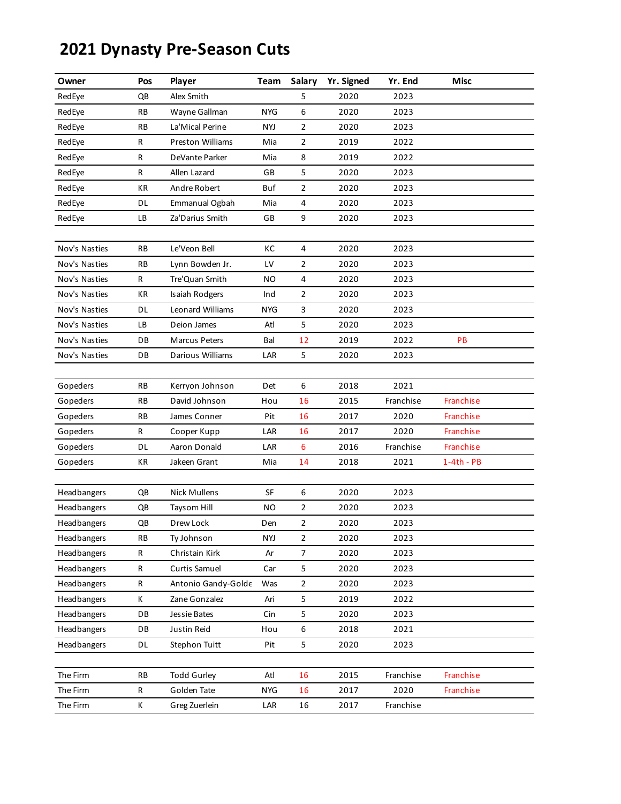## **2021 Dynasty Pre-Season Cuts**

| Owner         | Pos       | Player                  | <b>Team</b> | Salary         | Yr. Signed | Yr. End   | <b>Misc</b>  |  |
|---------------|-----------|-------------------------|-------------|----------------|------------|-----------|--------------|--|
| RedEye        | QB        | Alex Smith              |             | 5              | 2020       | 2023      |              |  |
| RedEye        | RB        | Wayne Gallman           | <b>NYG</b>  | 6              | 2020       | 2023      |              |  |
| RedEye        | RB        | La'Mical Perine         | NYJ         | $\overline{2}$ | 2020       | 2023      |              |  |
| RedEye        | R         | <b>Preston Williams</b> | Mia         | $\overline{2}$ | 2019       | 2022      |              |  |
| RedEye        | R         | DeVante Parker          | Mia         | 8              | 2019       | 2022      |              |  |
| RedEye        | R         | Allen Lazard            | GB          | 5              | 2020       | 2023      |              |  |
| RedEye        | КR        | Andre Robert            | Buf         | $\overline{2}$ | 2020       | 2023      |              |  |
| RedEye        | DL        | Emmanual Ogbah          | Mia         | 4              | 2020       | 2023      |              |  |
| RedEye        | LВ        | Za'Darius Smith         | GB          | 9              | 2020       | 2023      |              |  |
|               |           |                         |             |                |            |           |              |  |
| Nov's Nasties | <b>RB</b> | Le'Veon Bell            | КC          | $\overline{4}$ | 2020       | 2023      |              |  |
| Nov's Nasties | RB        | Lynn Bowden Jr.         | LV          | $\overline{2}$ | 2020       | 2023      |              |  |
| Nov's Nasties | R         | Tre'Quan Smith          | ΝO          | 4              | 2020       | 2023      |              |  |
| Nov's Nasties | KR        | Isaiah Rodgers          | Ind         | $\overline{2}$ | 2020       | 2023      |              |  |
| Nov's Nasties | DL        | Leonard Williams        | NYG         | 3              | 2020       | 2023      |              |  |
| Nov's Nasties | LB        | Deion James             | Atl         | 5              | 2020       | 2023      |              |  |
| Nov's Nasties | DB        | <b>Marcus Peters</b>    | Bal         | 12             | 2019       | 2022      | PB           |  |
| Nov's Nasties | DB        | Darious Williams        | LAR         | 5              | 2020       | 2023      |              |  |
|               |           |                         |             |                |            |           |              |  |
| Gopeders      | RB        | Kerryon Johnson         | Det         | 6              | 2018       | 2021      |              |  |
| Gopeders      | RB        | David Johnson           | Hou         | 16             | 2015       | Franchise | Franchise    |  |
| Gopeders      | RB        | James Conner            | Pit         | 16             | 2017       | 2020      | Franchise    |  |
| Gopeders      | R         | Cooper Kupp             | LAR         | 16             | 2017       | 2020      | Franchise    |  |
| Gopeders      | DL        | Aaron Donald            | LAR         | 6              | 2016       | Franchise | Franchise    |  |
| Gopeders      | КR        | Jakeen Grant            | Mia         | 14             | 2018       | 2021      | $1-4th - PB$ |  |
|               |           |                         |             |                |            |           |              |  |
| Headbangers   | QB        | Nick Mullens            | SF          | 6              | 2020       | 2023      |              |  |
| Headbangers   | QB        | Taysom Hill             | ΝO          | $\overline{2}$ | 2020       | 2023      |              |  |
| Headbangers   | QB        | Drew Lock               | Den         | $\overline{2}$ | 2020       | 2023      |              |  |
| Headbangers   | RB        | Ty Johnson              | NYJ         | $\overline{2}$ | 2020       | 2023      |              |  |
| Headbangers   | R         | Christain Kirk          | Ar          | $\overline{7}$ | 2020       | 2023      |              |  |
| Headbangers   | R         | Curtis Samuel           | Car         | 5              | 2020       | 2023      |              |  |
| Headbangers   | R         | Antonio Gandy-Golde     | Was         | $\overline{2}$ | 2020       | 2023      |              |  |
| Headbangers   | Κ         | Zane Gonzalez           | Ari         | 5              | 2019       | 2022      |              |  |
| Headbangers   | DB        | Jessie Bates            | Cin         | 5              | 2020       | 2023      |              |  |
| Headbangers   | DB        | Justin Reid             | Hou         | 6              | 2018       | 2021      |              |  |
| Headbangers   | DL        | Stephon Tuitt           | Pit         | 5              | 2020       | 2023      |              |  |
|               |           |                         |             |                |            |           |              |  |
| The Firm      | <b>RB</b> | <b>Todd Gurley</b>      | Atl         | 16             | 2015       | Franchise | Franchise    |  |
| The Firm      | R         | Golden Tate             | NYG         | 16             | 2017       | 2020      | Franchise    |  |
| The Firm      | К         | Greg Zuerlein           | LAR         | 16             | 2017       | Franchise |              |  |
|               |           |                         |             |                |            |           |              |  |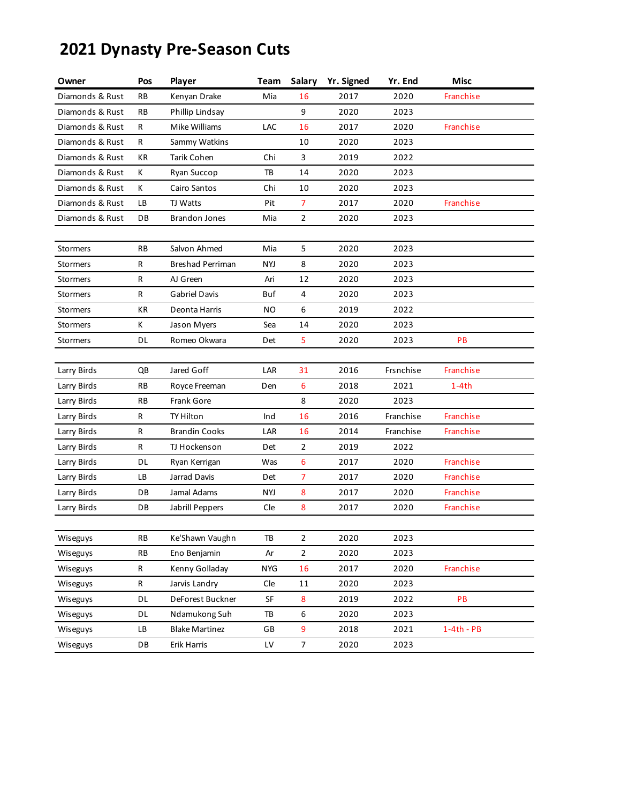## **2021 Dynasty Pre-Season Cuts**

| Owner           | Pos          | Player                | Team       | Salary         | Yr. Signed | Yr. End   | <b>Misc</b>  |
|-----------------|--------------|-----------------------|------------|----------------|------------|-----------|--------------|
| Diamonds & Rust | RB           | Kenyan Drake          | Mia        | 16             | 2017       | 2020      | Franchise    |
| Diamonds & Rust | RB           | Phillip Lindsay       |            | 9              | 2020       | 2023      |              |
| Diamonds & Rust | R            | Mike Williams         | LAC        | 16             | 2017       | 2020      | Franchise    |
| Diamonds & Rust | R            | Sammy Watkins         |            | 10             | 2020       | 2023      |              |
| Diamonds & Rust | КR           | Tarik Cohen           | Chi        | 3              | 2019       | 2022      |              |
| Diamonds & Rust | К            | Ryan Succop           | TB         | 14             | 2020       | 2023      |              |
| Diamonds & Rust | К            | Cairo Santos          | Chi        | 10             | 2020       | 2023      |              |
| Diamonds & Rust | LВ           | TJ Watts              | Pit        | $\overline{7}$ | 2017       | 2020      | Franchise    |
| Diamonds & Rust | DB           | <b>Brandon Jones</b>  | Mia        | $\overline{2}$ | 2020       | 2023      |              |
|                 |              |                       |            |                |            |           |              |
| <b>Stormers</b> | RB           | Salvon Ahmed          | Mia        | 5              | 2020       | 2023      |              |
| <b>Stormers</b> | R            | Breshad Perriman      | NYJ        | 8              | 2020       | 2023      |              |
| <b>Stormers</b> | R            | AJ Green              | Ari        | 12             | 2020       | 2023      |              |
| <b>Stormers</b> | $\mathsf{R}$ | <b>Gabriel Davis</b>  | Buf        | 4              | 2020       | 2023      |              |
| <b>Stormers</b> | КR           | Deonta Harris         | ΝO         | 6              | 2019       | 2022      |              |
| <b>Stormers</b> | К            | Jason Myers           | Sea        | 14             | 2020       | 2023      |              |
| <b>Stormers</b> | DL           | Romeo Okwara          | Det        | 5              | 2020       | 2023      | PB           |
|                 |              |                       |            |                |            |           |              |
| Larry Birds     | QB           | Jared Goff            | LAR        | 31             | 2016       | Frsnchise | Franchise    |
| Larry Birds     | RB           | Royce Freeman         | Den        | 6              | 2018       | 2021      | $1-4th$      |
| Larry Birds     | RB           | <b>Frank Gore</b>     |            | 8              | 2020       | 2023      |              |
| Larry Birds     | R            | TY Hilton             | Ind        | 16             | 2016       | Franchise | Franchise    |
| Larry Birds     | R            | <b>Brandin Cooks</b>  | LAR        | 16             | 2014       | Franchise | Franchise    |
| Larry Birds     | R            | TJ Hockenson          | Det        | $\overline{2}$ | 2019       | 2022      |              |
| Larry Birds     | DL           | Ryan Kerrigan         | Was        | 6              | 2017       | 2020      | Franchise    |
| Larry Birds     | LB           | Jarrad Davis          | Det        | $\overline{7}$ | 2017       | 2020      | Franchise    |
| Larry Birds     | DB           | Jamal Adams           | NYJ        | 8              | 2017       | 2020      | Franchise    |
| Larry Birds     | DB           | Jabrill Peppers       | Cle        | 8              | 2017       | 2020      | Franchise    |
|                 |              |                       |            |                |            |           |              |
| <b>Wiseguys</b> | RB           | Ke'Shawn Vaughn       | TB         | $\mathbf 2$    | 2020       | 2023      |              |
| Wiseguys        | RB           | Eno Benjamin          | Ar         | $\overline{2}$ | 2020       | 2023      |              |
| Wiseguys        | R            | Kenny Golladay        | <b>NYG</b> | 16             | 2017       | 2020      | Franchise    |
| Wiseguys        | R            | Jarvis Landry         | Cle        | 11             | 2020       | 2023      |              |
| Wiseguys        | DL           | DeForest Buckner      | SF         | 8              | 2019       | 2022      | PB           |
| Wiseguys        | DL           | Ndamukong Suh         | TB         | 6              | 2020       | 2023      |              |
| Wiseguys        | LB           | <b>Blake Martinez</b> | GB         | 9              | 2018       | 2021      | $1-4th - PB$ |
| Wiseguys        | DB           | Erik Harris           | LV         | $\overline{7}$ | 2020       | 2023      |              |